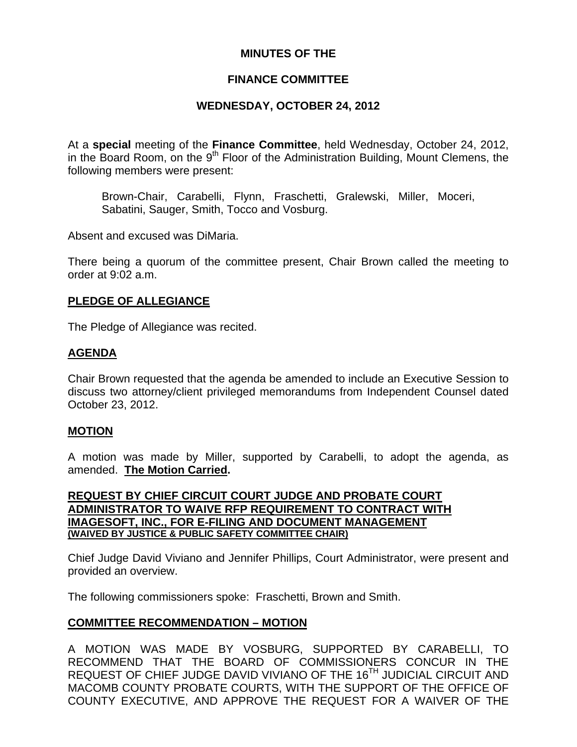# **MINUTES OF THE**

# **FINANCE COMMITTEE**

# **WEDNESDAY, OCTOBER 24, 2012**

At a **special** meeting of the **Finance Committee**, held Wednesday, October 24, 2012, in the Board Room, on the  $9<sup>th</sup>$  Floor of the Administration Building, Mount Clemens, the following members were present:

Brown-Chair, Carabelli, Flynn, Fraschetti, Gralewski, Miller, Moceri, Sabatini, Sauger, Smith, Tocco and Vosburg.

Absent and excused was DiMaria.

There being a quorum of the committee present, Chair Brown called the meeting to order at 9:02 a.m.

## **PLEDGE OF ALLEGIANCE**

The Pledge of Allegiance was recited.

## **AGENDA**

Chair Brown requested that the agenda be amended to include an Executive Session to discuss two attorney/client privileged memorandums from Independent Counsel dated October 23, 2012.

### **MOTION**

A motion was made by Miller, supported by Carabelli, to adopt the agenda, as amended. **The Motion Carried.** 

### **REQUEST BY CHIEF CIRCUIT COURT JUDGE AND PROBATE COURT ADMINISTRATOR TO WAIVE RFP REQUIREMENT TO CONTRACT WITH IMAGESOFT, INC., FOR E-FILING AND DOCUMENT MANAGEMENT (WAIVED BY JUSTICE & PUBLIC SAFETY COMMITTEE CHAIR)**

Chief Judge David Viviano and Jennifer Phillips, Court Administrator, were present and provided an overview.

The following commissioners spoke: Fraschetti, Brown and Smith.

# **COMMITTEE RECOMMENDATION – MOTION**

A MOTION WAS MADE BY VOSBURG, SUPPORTED BY CARABELLI, TO RECOMMEND THAT THE BOARD OF COMMISSIONERS CONCUR IN THE REQUEST OF CHIEF JUDGE DAVID VIVIANO OF THE 16<sup>TH</sup> JUDICIAL CIRCUIT AND MACOMB COUNTY PROBATE COURTS, WITH THE SUPPORT OF THE OFFICE OF COUNTY EXECUTIVE, AND APPROVE THE REQUEST FOR A WAIVER OF THE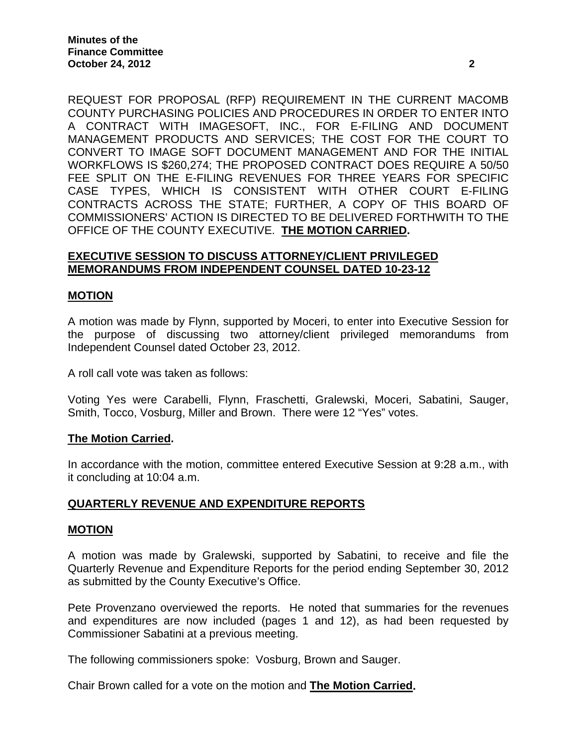REQUEST FOR PROPOSAL (RFP) REQUIREMENT IN THE CURRENT MACOMB COUNTY PURCHASING POLICIES AND PROCEDURES IN ORDER TO ENTER INTO A CONTRACT WITH IMAGESOFT, INC., FOR E-FILING AND DOCUMENT MANAGEMENT PRODUCTS AND SERVICES; THE COST FOR THE COURT TO CONVERT TO IMAGE SOFT DOCUMENT MANAGEMENT AND FOR THE INITIAL WORKFLOWS IS \$260,274; THE PROPOSED CONTRACT DOES REQUIRE A 50/50 FEE SPLIT ON THE E-FILING REVENUES FOR THREE YEARS FOR SPECIFIC CASE TYPES, WHICH IS CONSISTENT WITH OTHER COURT E-FILING CONTRACTS ACROSS THE STATE; FURTHER, A COPY OF THIS BOARD OF COMMISSIONERS' ACTION IS DIRECTED TO BE DELIVERED FORTHWITH TO THE OFFICE OF THE COUNTY EXECUTIVE. **THE MOTION CARRIED.** 

## **EXECUTIVE SESSION TO DISCUSS ATTORNEY/CLIENT PRIVILEGED MEMORANDUMS FROM INDEPENDENT COUNSEL DATED 10-23-12**

## **MOTION**

A motion was made by Flynn, supported by Moceri, to enter into Executive Session for the purpose of discussing two attorney/client privileged memorandums from Independent Counsel dated October 23, 2012.

A roll call vote was taken as follows:

Voting Yes were Carabelli, Flynn, Fraschetti, Gralewski, Moceri, Sabatini, Sauger, Smith, Tocco, Vosburg, Miller and Brown. There were 12 "Yes" votes.

### **The Motion Carried.**

In accordance with the motion, committee entered Executive Session at 9:28 a.m., with it concluding at 10:04 a.m.

### **QUARTERLY REVENUE AND EXPENDITURE REPORTS**

#### **MOTION**

A motion was made by Gralewski, supported by Sabatini, to receive and file the Quarterly Revenue and Expenditure Reports for the period ending September 30, 2012 as submitted by the County Executive's Office.

Pete Provenzano overviewed the reports. He noted that summaries for the revenues and expenditures are now included (pages 1 and 12), as had been requested by Commissioner Sabatini at a previous meeting.

The following commissioners spoke: Vosburg, Brown and Sauger.

Chair Brown called for a vote on the motion and **The Motion Carried.**